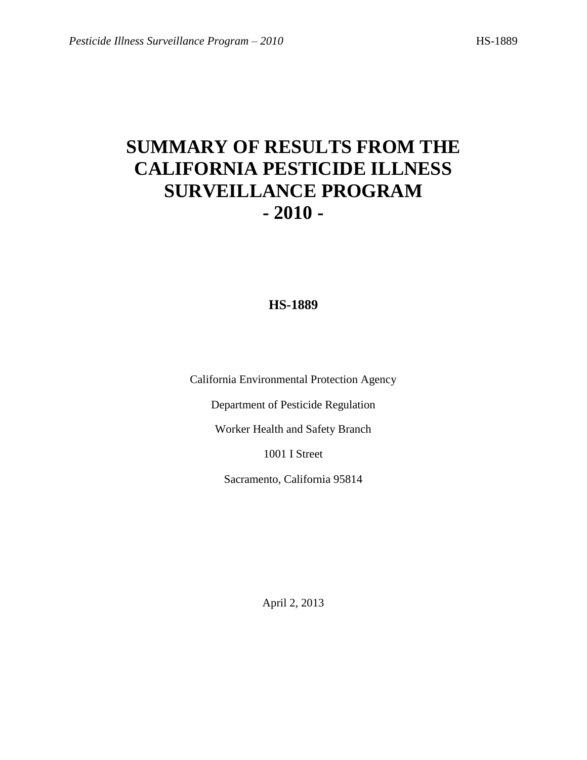# **SUMMARY OF RESULTS FROM THE CALIFORNIA PESTICIDE ILLNESS SURVEILLANCE PROGRAM - 2010 -**

# **HS-1889**

California Environmental Protection Agency

Department of Pesticide Regulation

Worker Health and Safety Branch

1001 I Street

Sacramento, California 95814

April 2, 2013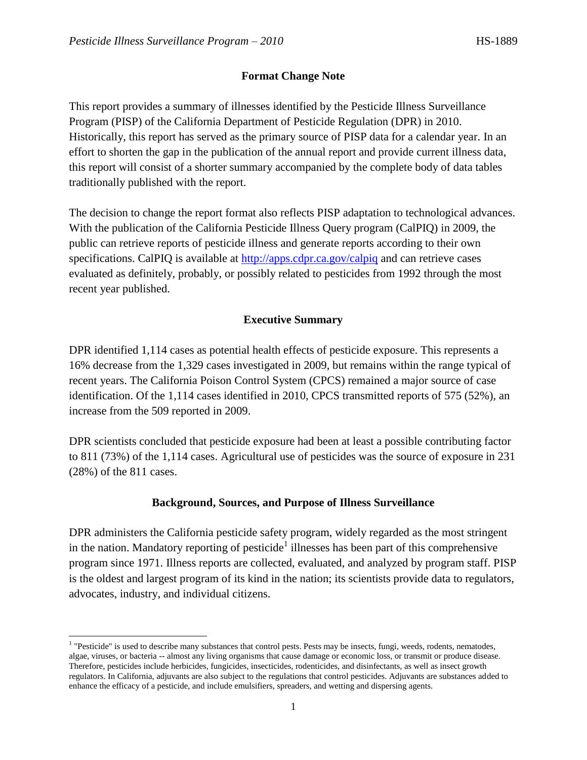## **Format Change Note**

This report provides a summary of illnesses identified by the Pesticide Illness Surveillance Program (PISP) of the California Department of Pesticide Regulation (DPR) in 2010. Historically, this report has served as the primary source of PISP data for a calendar year. In an effort to shorten the gap in the publication of the annual report and provide current illness data, this report will consist of a shorter summary accompanied by the complete body of data tables traditionally published with the report.

The decision to change the report format also reflects PISP adaptation to technological advances. With the publication of the California Pesticide Illness Query program (CalPIQ) in 2009, the public can retrieve reports of pesticide illness and generate reports according to their own specifications. CalPIQ is available at<http://apps.cdpr.ca.gov/calpiq> and can retrieve cases evaluated as definitely, probably, or possibly related to pesticides from 1992 through the most recent year published.

## **Executive Summary**

DPR identified 1,114 cases as potential health effects of pesticide exposure. This represents a 16% decrease from the 1,329 cases investigated in 2009, but remains within the range typical of recent years. The California Poison Control System (CPCS) remained a major source of case identification. Of the 1,114 cases identified in 2010, CPCS transmitted reports of 575 (52%), an increase from the 509 reported in 2009.

DPR scientists concluded that pesticide exposure had been at least a possible contributing factor to 811 (73%) of the 1,114 cases. Agricultural use of pesticides was the source of exposure in 231 (28%) of the 811 cases.

## **Background, Sources, and Purpose of Illness Surveillance**

DPR administers the California pesticide safety program, widely regarded as the most stringent in the nation. Mandatory reporting of pesticide<sup>1</sup> illnesses has been part of this comprehensive program since 1971. Illness reports are collected, evaluated, and analyzed by program staff. PISP is the oldest and largest program of its kind in the nation; its scientists provide data to regulators, advocates, industry, and individual citizens.

l

<sup>&</sup>lt;sup>1</sup> "Pesticide" is used to describe many substances that control pests. Pests may be insects, fungi, weeds, rodents, nematodes, algae, viruses, or bacteria -- almost any living organisms that cause damage or economic loss, or transmit or produce disease. Therefore, pesticides include herbicides, fungicides, insecticides, rodenticides, and disinfectants, as well as insect growth regulators. In California, adjuvants are also subject to the regulations that control pesticides. Adjuvants are substances added to enhance the efficacy of a pesticide, and include emulsifiers, spreaders, and wetting and dispersing agents.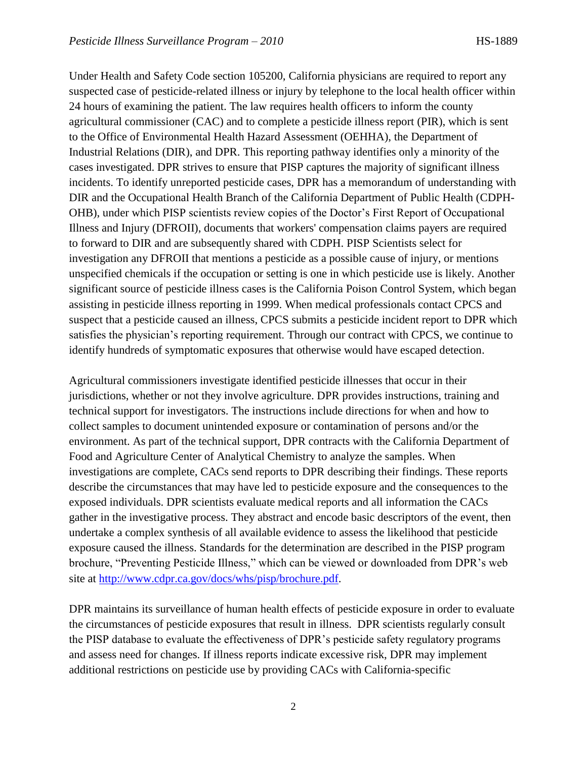Under Health and Safety Code section 105200, California physicians are required to report any suspected case of pesticide-related illness or injury by telephone to the local health officer within 24 hours of examining the patient. The law requires health officers to inform the county agricultural commissioner (CAC) and to complete a pesticide illness report (PIR), which is sent to the Office of Environmental Health Hazard Assessment (OEHHA), the Department of Industrial Relations (DIR), and DPR. This reporting pathway identifies only a minority of the cases investigated. DPR strives to ensure that PISP captures the majority of significant illness incidents. To identify unreported pesticide cases, DPR has a memorandum of understanding with DIR and the Occupational Health Branch of the California Department of Public Health (CDPH-OHB), under which PISP scientists review copies of the Doctor's First Report of Occupational Illness and Injury (DFROII), documents that workers' compensation claims payers are required to forward to DIR and are subsequently shared with CDPH. PISP Scientists select for investigation any DFROII that mentions a pesticide as a possible cause of injury, or mentions unspecified chemicals if the occupation or setting is one in which pesticide use is likely. Another significant source of pesticide illness cases is the California Poison Control System, which began assisting in pesticide illness reporting in 1999. When medical professionals contact CPCS and suspect that a pesticide caused an illness, CPCS submits a pesticide incident report to DPR which satisfies the physician's reporting requirement. Through our contract with CPCS, we continue to identify hundreds of symptomatic exposures that otherwise would have escaped detection.

Agricultural commissioners investigate identified pesticide illnesses that occur in their jurisdictions, whether or not they involve agriculture. DPR provides instructions, training and technical support for investigators. The instructions include directions for when and how to collect samples to document unintended exposure or contamination of persons and/or the environment. As part of the technical support, DPR contracts with the California Department of Food and Agriculture Center of Analytical Chemistry to analyze the samples. When investigations are complete, CACs send reports to DPR describing their findings. These reports describe the circumstances that may have led to pesticide exposure and the consequences to the exposed individuals. DPR scientists evaluate medical reports and all information the CACs gather in the investigative process. They abstract and encode basic descriptors of the event, then undertake a complex synthesis of all available evidence to assess the likelihood that pesticide exposure caused the illness. Standards for the determination are described in the PISP program brochure, "Preventing Pesticide Illness," which can be viewed or downloaded from DPR's web site at [http://www.cdpr.ca.gov/docs/whs/pisp/brochure.pdf.](http://www.cdpr.ca.gov/docs/whs/pisp/brochure.pdf)

DPR maintains its surveillance of human health effects of pesticide exposure in order to evaluate the circumstances of pesticide exposures that result in illness. DPR scientists regularly consult the PISP database to evaluate the effectiveness of DPR's pesticide safety regulatory programs and assess need for changes. If illness reports indicate excessive risk, DPR may implement additional restrictions on pesticide use by providing CACs with California-specific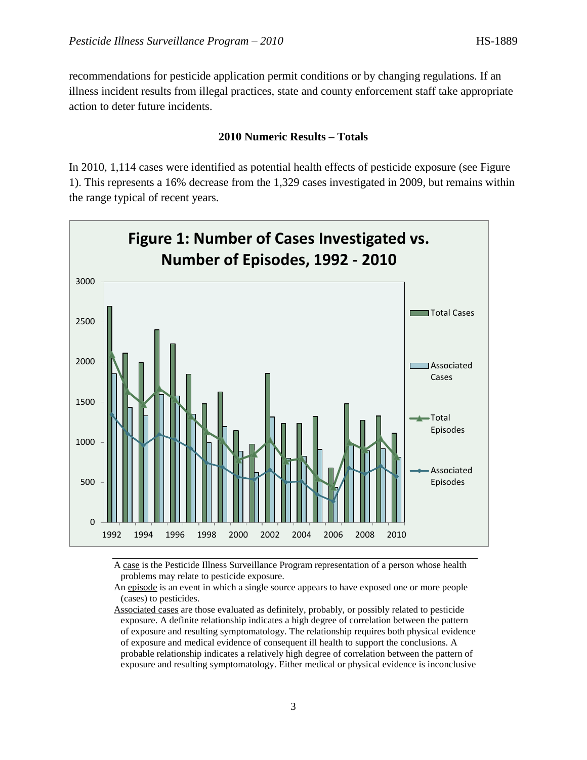recommendations for pesticide application permit conditions or by changing regulations. If an illness incident results from illegal practices, state and county enforcement staff take appropriate action to deter future incidents.

#### **2010 Numeric Results – Totals**

In 2010, 1,114 cases were identified as potential health effects of pesticide exposure (see Figure 1). This represents a 16% decrease from the 1,329 cases investigated in 2009, but remains within the range typical of recent years.



A case is the Pesticide Illness Surveillance Program representation of a person whose health problems may relate to pesticide exposure.

An episode is an event in which a single source appears to have exposed one or more people (cases) to pesticides.

Associated cases are those evaluated as definitely, probably, or possibly related to pesticide exposure. A definite relationship indicates a high degree of correlation between the pattern of exposure and resulting symptomatology. The relationship requires both physical evidence of exposure and medical evidence of consequent ill health to support the conclusions. A probable relationship indicates a relatively high degree of correlation between the pattern of exposure and resulting symptomatology. Either medical or physical evidence is inconclusive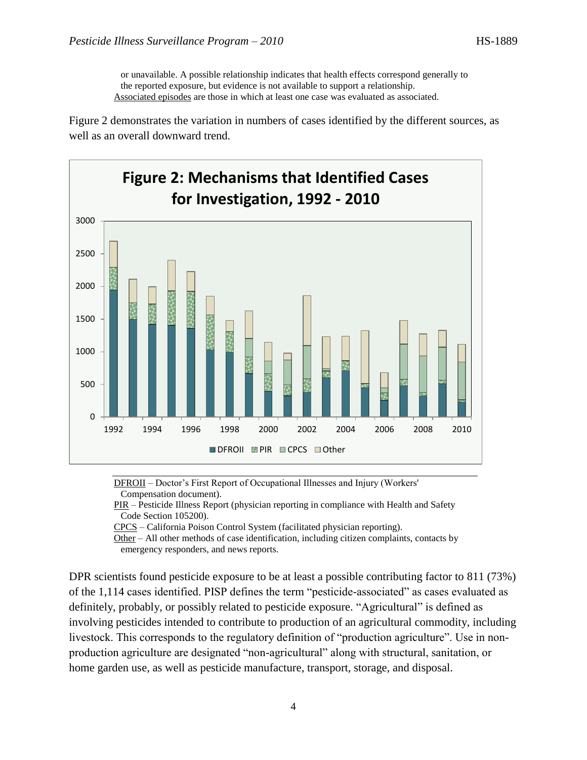or unavailable. A possible relationship indicates that health effects correspond generally to the reported exposure, but evidence is not available to support a relationship. Associated episodes are those in which at least one case was evaluated as associated.

Figure 2 demonstrates the variation in numbers of cases identified by the different sources, as well as an overall downward trend.



DFROII – Doctor's First Report of Occupational Illnesses and Injury (Workers' Compensation document).

PIR – Pesticide Illness Report (physician reporting in compliance with Health and Safety Code Section 105200).

CPCS – California Poison Control System (facilitated physician reporting).

Other – All other methods of case identification, including citizen complaints, contacts by emergency responders, and news reports.

DPR scientists found pesticide exposure to be at least a possible contributing factor to 811 (73%) of the 1,114 cases identified. PISP defines the term "pesticide-associated" as cases evaluated as definitely, probably, or possibly related to pesticide exposure. "Agricultural" is defined as involving pesticides intended to contribute to production of an agricultural commodity, including livestock. This corresponds to the regulatory definition of "production agriculture". Use in nonproduction agriculture are designated "non-agricultural" along with structural, sanitation, or home garden use, as well as pesticide manufacture, transport, storage, and disposal.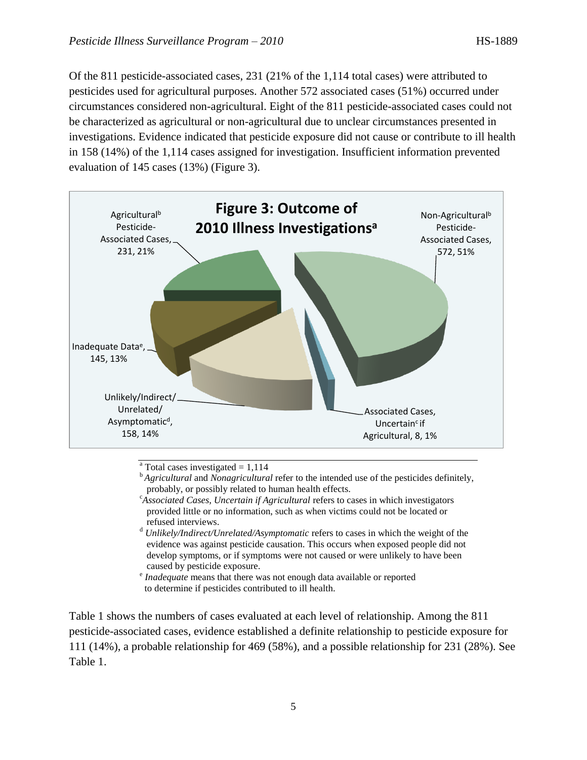Of the 811 pesticide-associated cases, 231 (21% of the 1,114 total cases) were attributed to pesticides used for agricultural purposes. Another 572 associated cases (51%) occurred under circumstances considered non-agricultural. Eight of the 811 pesticide-associated cases could not be characterized as agricultural or non-agricultural due to unclear circumstances presented in investigations. Evidence indicated that pesticide exposure did not cause or contribute to ill health in 158 (14%) of the 1,114 cases assigned for investigation. Insufficient information prevented evaluation of 145 cases (13%) (Figure 3).



- $\overline{a}$  Total cases investigated = 1,114
- <sup>b</sup>*Agricultural* and *Nonagricultural* refer to the intended use of the pesticides definitely, probably, or possibly related to human health effects.
- <sup>c</sup>*Associated Cases, Uncertain if Agricultural* refers to cases in which investigators provided little or no information, such as when victims could not be located or refused interviews.
- <sup>d</sup> *Unlikely/Indirect/Unrelated/Asymptomatic* refers to cases in which the weight of the evidence was against pesticide causation. This occurs when exposed people did not develop symptoms, or if symptoms were not caused or were unlikely to have been caused by pesticide exposure.
- <sup>e</sup> Inadequate means that there was not enough data available or reported to determine if pesticides contributed to ill health.

Table 1 shows the numbers of cases evaluated at each level of relationship. Among the 811 pesticide-associated cases, evidence established a definite relationship to pesticide exposure for 111 (14%), a probable relationship for 469 (58%), and a possible relationship for 231 (28%). See Table 1.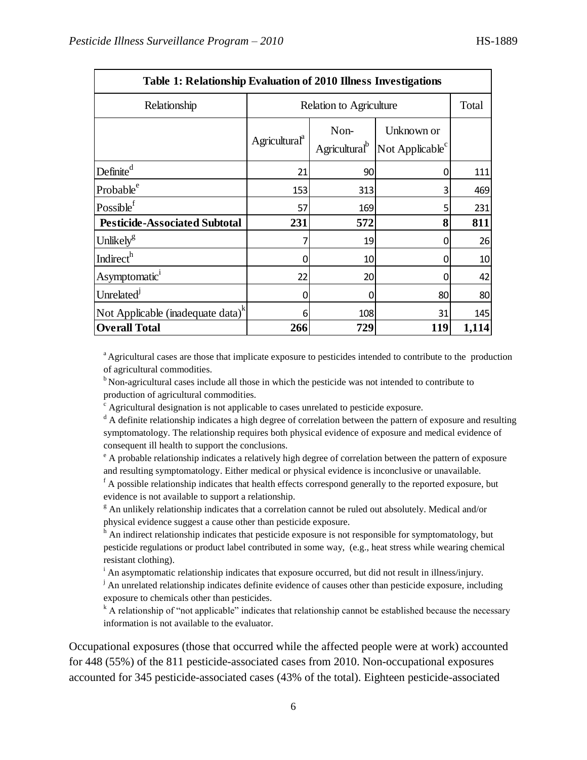| Table 1: Relationship Evaluation of 2010 Illness Investigations |                           |                                   |                                              |       |  |
|-----------------------------------------------------------------|---------------------------|-----------------------------------|----------------------------------------------|-------|--|
| Relationship                                                    | Relation to Agriculture   | Total                             |                                              |       |  |
|                                                                 | Agricultural <sup>a</sup> | Non-<br>Agricultural <sup>b</sup> | Unknown or<br>Not Applicable $\mathrm{^{c}}$ |       |  |
| Definite <sup>d</sup>                                           | 21                        | 90                                | 0                                            | 111   |  |
| Probable <sup>e</sup>                                           | 153                       | 313                               | 3                                            | 469   |  |
| Possible $f$                                                    | 57                        | 169                               | 5                                            | 231   |  |
| <b>Pesticide-Associated Subtotal</b>                            | 231                       | 572                               | 8                                            | 811   |  |
| Unlikely <sup>g</sup>                                           |                           | 19                                | 0                                            | 26    |  |
| Indirect <sup>h</sup>                                           | 0                         | 10                                | 0                                            | 10    |  |
| Asymptomatic <sup>1</sup>                                       | 22                        | 20                                | 0                                            | 42    |  |
| Unrelated <sup>J</sup>                                          | 0                         | 0                                 | 80                                           | 80    |  |
| Not Applicable (inadequate data) <sup>k</sup>                   | 6                         | 108                               | 31                                           | 145   |  |
| <b>Overall Total</b>                                            | 266                       | 729                               | 119                                          | 1,114 |  |

<sup>a</sup> Agricultural cases are those that implicate exposure to pesticides intended to contribute to the production of agricultural commodities.

 $b<sup>b</sup>$  Non-agricultural cases include all those in which the pesticide was not intended to contribute to production of agricultural commodities.

 $\epsilon$  Agricultural designation is not applicable to cases unrelated to pesticide exposure.

<sup>d</sup> A definite relationship indicates a high degree of correlation between the pattern of exposure and resulting symptomatology. The relationship requires both physical evidence of exposure and medical evidence of consequent ill health to support the conclusions.

<sup>e</sup> A probable relationship indicates a relatively high degree of correlation between the pattern of exposure and resulting symptomatology. Either medical or physical evidence is inconclusive or unavailable.

 $f_A$  possible relationship indicates that health effects correspond generally to the reported exposure, but evidence is not available to support a relationship.

<sup>g</sup> An unlikely relationship indicates that a correlation cannot be ruled out absolutely. Medical and/or physical evidence suggest a cause other than pesticide exposure.

 $<sup>h</sup>$  An indirect relationship indicates that pesticide exposure is not responsible for symptomatology, but</sup> pesticide regulations or product label contributed in some way, (e.g., heat stress while wearing chemical resistant clothing).

<sup>i</sup> An asymptomatic relationship indicates that exposure occurred, but did not result in illness/injury.

 $\mu$  An unrelated relationship indicates definite evidence of causes other than pesticide exposure, including exposure to chemicals other than pesticides.

 $k_A$  A relationship of "not applicable" indicates that relationship cannot be established because the necessary information is not available to the evaluator.

Occupational exposures (those that occurred while the affected people were at work) accounted for 448 (55%) of the 811 pesticide-associated cases from 2010. Non-occupational exposures accounted for 345 pesticide-associated cases (43% of the total). Eighteen pesticide-associated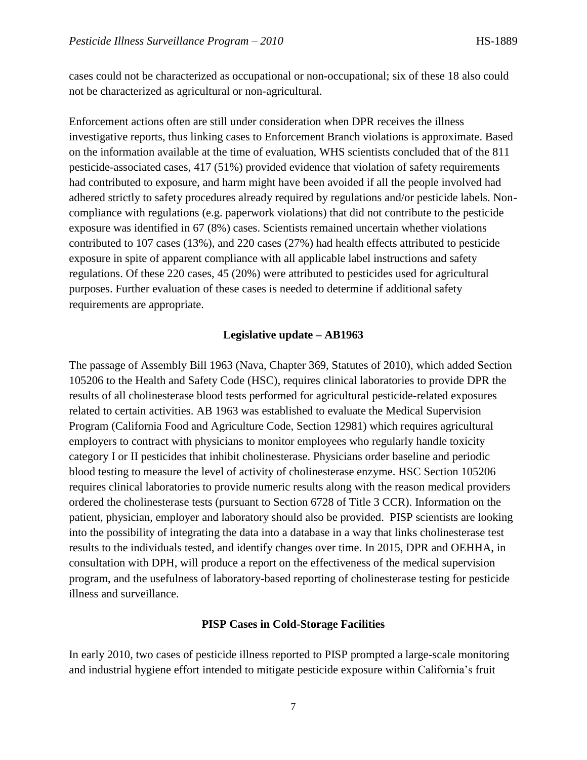cases could not be characterized as occupational or non-occupational; six of these 18 also could not be characterized as agricultural or non-agricultural.

Enforcement actions often are still under consideration when DPR receives the illness investigative reports, thus linking cases to Enforcement Branch violations is approximate. Based on the information available at the time of evaluation, WHS scientists concluded that of the 811 pesticide-associated cases, 417 (51%) provided evidence that violation of safety requirements had contributed to exposure, and harm might have been avoided if all the people involved had adhered strictly to safety procedures already required by regulations and/or pesticide labels. Noncompliance with regulations (e.g. paperwork violations) that did not contribute to the pesticide exposure was identified in 67 (8%) cases. Scientists remained uncertain whether violations contributed to 107 cases (13%), and 220 cases (27%) had health effects attributed to pesticide exposure in spite of apparent compliance with all applicable label instructions and safety regulations. Of these 220 cases, 45 (20%) were attributed to pesticides used for agricultural purposes. Further evaluation of these cases is needed to determine if additional safety requirements are appropriate.

#### **Legislative update – AB1963**

The passage of Assembly Bill 1963 (Nava, Chapter 369, Statutes of 2010), which added Section 105206 to the Health and Safety Code (HSC), requires clinical laboratories to provide DPR the results of all cholinesterase blood tests performed for agricultural pesticide-related exposures related to certain activities. AB 1963 was established to evaluate the Medical Supervision Program (California Food and Agriculture Code, Section 12981) which requires agricultural employers to contract with physicians to monitor employees who regularly handle toxicity category I or II pesticides that inhibit cholinesterase. Physicians order baseline and periodic blood testing to measure the level of activity of cholinesterase enzyme. HSC Section 105206 requires clinical laboratories to provide numeric results along with the reason medical providers ordered the cholinesterase tests (pursuant to Section 6728 of Title 3 CCR). Information on the patient, physician, employer and laboratory should also be provided. PISP scientists are looking into the possibility of integrating the data into a database in a way that links cholinesterase test results to the individuals tested, and identify changes over time. In 2015, DPR and OEHHA, in consultation with DPH, will produce a report on the effectiveness of the medical supervision program, and the usefulness of laboratory-based reporting of cholinesterase testing for pesticide illness and surveillance.

#### **PISP Cases in Cold-Storage Facilities**

In early 2010, two cases of pesticide illness reported to PISP prompted a large-scale monitoring and industrial hygiene effort intended to mitigate pesticide exposure within California's fruit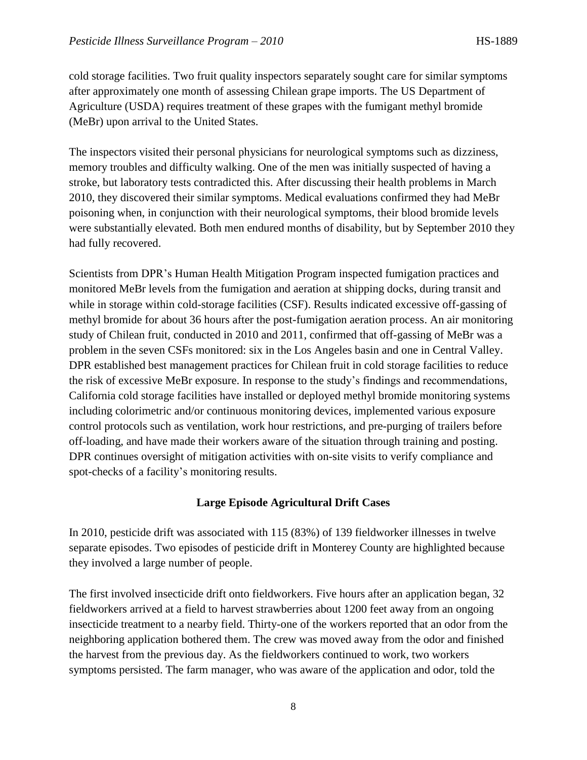cold storage facilities. Two fruit quality inspectors separately sought care for similar symptoms after approximately one month of assessing Chilean grape imports. The US Department of Agriculture (USDA) requires treatment of these grapes with the fumigant methyl bromide (MeBr) upon arrival to the United States.

The inspectors visited their personal physicians for neurological symptoms such as dizziness, memory troubles and difficulty walking. One of the men was initially suspected of having a stroke, but laboratory tests contradicted this. After discussing their health problems in March 2010, they discovered their similar symptoms. Medical evaluations confirmed they had MeBr poisoning when, in conjunction with their neurological symptoms, their blood bromide levels were substantially elevated. Both men endured months of disability, but by September 2010 they had fully recovered.

Scientists from DPR's Human Health Mitigation Program inspected fumigation practices and monitored MeBr levels from the fumigation and aeration at shipping docks, during transit and while in storage within cold-storage facilities (CSF). Results indicated excessive off-gassing of methyl bromide for about 36 hours after the post-fumigation aeration process. An air monitoring study of Chilean fruit, conducted in 2010 and 2011, confirmed that off-gassing of MeBr was a problem in the seven CSFs monitored: six in the Los Angeles basin and one in Central Valley. DPR established best management practices for Chilean fruit in cold storage facilities to reduce the risk of excessive MeBr exposure. In response to the study's findings and recommendations, California cold storage facilities have installed or deployed methyl bromide monitoring systems including colorimetric and/or continuous monitoring devices, implemented various exposure control protocols such as ventilation, work hour restrictions, and pre-purging of trailers before off-loading, and have made their workers aware of the situation through training and posting. DPR continues oversight of mitigation activities with on-site visits to verify compliance and spot-checks of a facility's monitoring results.

#### **Large Episode Agricultural Drift Cases**

In 2010, pesticide drift was associated with 115 (83%) of 139 fieldworker illnesses in twelve separate episodes. Two episodes of pesticide drift in Monterey County are highlighted because they involved a large number of people.

The first involved insecticide drift onto fieldworkers. Five hours after an application began, 32 fieldworkers arrived at a field to harvest strawberries about 1200 feet away from an ongoing insecticide treatment to a nearby field. Thirty-one of the workers reported that an odor from the neighboring application bothered them. The crew was moved away from the odor and finished the harvest from the previous day. As the fieldworkers continued to work, two workers symptoms persisted. The farm manager, who was aware of the application and odor, told the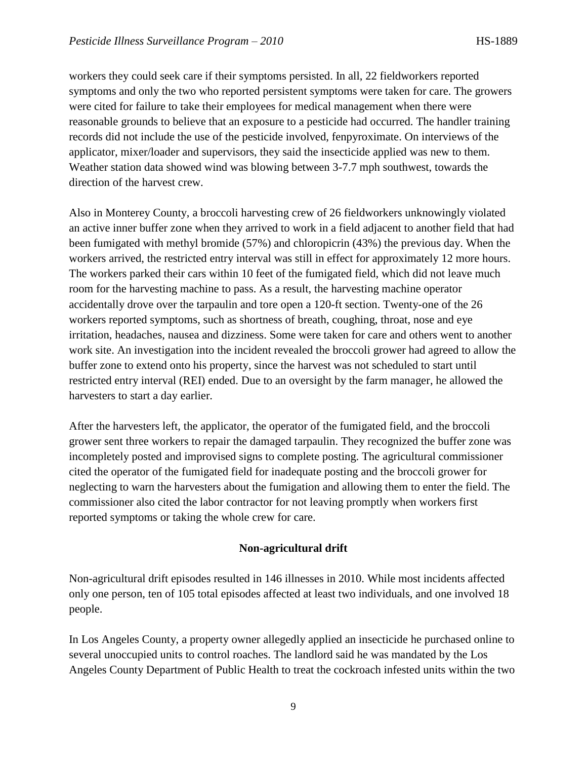workers they could seek care if their symptoms persisted. In all, 22 fieldworkers reported symptoms and only the two who reported persistent symptoms were taken for care. The growers were cited for failure to take their employees for medical management when there were reasonable grounds to believe that an exposure to a pesticide had occurred. The handler training records did not include the use of the pesticide involved, fenpyroximate. On interviews of the applicator, mixer/loader and supervisors, they said the insecticide applied was new to them. Weather station data showed wind was blowing between 3-7.7 mph southwest, towards the direction of the harvest crew.

Also in Monterey County, a broccoli harvesting crew of 26 fieldworkers unknowingly violated an active inner buffer zone when they arrived to work in a field adjacent to another field that had been fumigated with methyl bromide (57%) and chloropicrin (43%) the previous day. When the workers arrived, the restricted entry interval was still in effect for approximately 12 more hours. The workers parked their cars within 10 feet of the fumigated field, which did not leave much room for the harvesting machine to pass. As a result, the harvesting machine operator accidentally drove over the tarpaulin and tore open a 120-ft section. Twenty-one of the 26 workers reported symptoms, such as shortness of breath, coughing, throat, nose and eye irritation, headaches, nausea and dizziness. Some were taken for care and others went to another work site. An investigation into the incident revealed the broccoli grower had agreed to allow the buffer zone to extend onto his property, since the harvest was not scheduled to start until restricted entry interval (REI) ended. Due to an oversight by the farm manager, he allowed the harvesters to start a day earlier.

After the harvesters left, the applicator, the operator of the fumigated field, and the broccoli grower sent three workers to repair the damaged tarpaulin. They recognized the buffer zone was incompletely posted and improvised signs to complete posting. The agricultural commissioner cited the operator of the fumigated field for inadequate posting and the broccoli grower for neglecting to warn the harvesters about the fumigation and allowing them to enter the field. The commissioner also cited the labor contractor for not leaving promptly when workers first reported symptoms or taking the whole crew for care.

#### **Non-agricultural drift**

Non-agricultural drift episodes resulted in 146 illnesses in 2010. While most incidents affected only one person, ten of 105 total episodes affected at least two individuals, and one involved 18 people.

In Los Angeles County, a property owner allegedly applied an insecticide he purchased online to several unoccupied units to control roaches. The landlord said he was mandated by the Los Angeles County Department of Public Health to treat the cockroach infested units within the two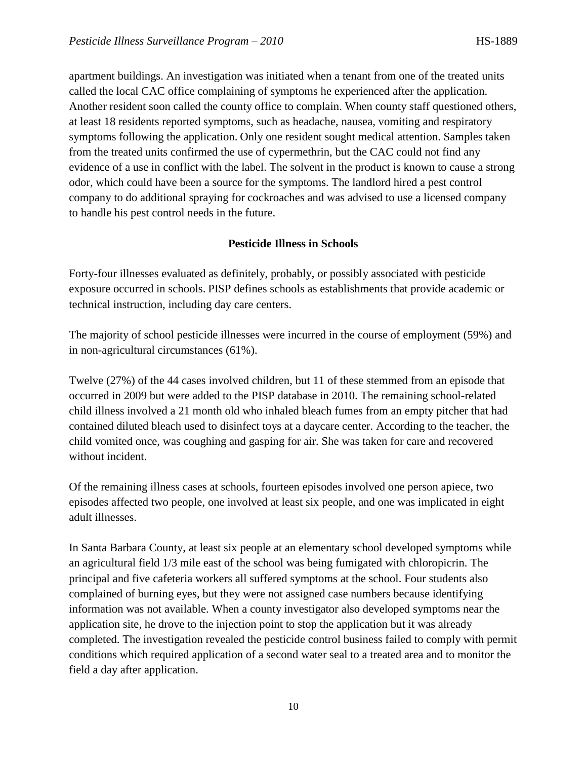apartment buildings. An investigation was initiated when a tenant from one of the treated units called the local CAC office complaining of symptoms he experienced after the application. Another resident soon called the county office to complain. When county staff questioned others, at least 18 residents reported symptoms, such as headache, nausea, vomiting and respiratory symptoms following the application. Only one resident sought medical attention. Samples taken from the treated units confirmed the use of cypermethrin, but the CAC could not find any evidence of a use in conflict with the label. The solvent in the product is known to cause a strong odor, which could have been a source for the symptoms. The landlord hired a pest control company to do additional spraying for cockroaches and was advised to use a licensed company to handle his pest control needs in the future.

#### **Pesticide Illness in Schools**

Forty-four illnesses evaluated as definitely, probably, or possibly associated with pesticide exposure occurred in schools. PISP defines schools as establishments that provide academic or technical instruction, including day care centers.

The majority of school pesticide illnesses were incurred in the course of employment (59%) and in non-agricultural circumstances (61%).

Twelve (27%) of the 44 cases involved children, but 11 of these stemmed from an episode that occurred in 2009 but were added to the PISP database in 2010. The remaining school-related child illness involved a 21 month old who inhaled bleach fumes from an empty pitcher that had contained diluted bleach used to disinfect toys at a daycare center. According to the teacher, the child vomited once, was coughing and gasping for air. She was taken for care and recovered without incident.

Of the remaining illness cases at schools, fourteen episodes involved one person apiece, two episodes affected two people, one involved at least six people, and one was implicated in eight adult illnesses.

In Santa Barbara County, at least six people at an elementary school developed symptoms while an agricultural field 1/3 mile east of the school was being fumigated with chloropicrin. The principal and five cafeteria workers all suffered symptoms at the school. Four students also complained of burning eyes, but they were not assigned case numbers because identifying information was not available. When a county investigator also developed symptoms near the application site, he drove to the injection point to stop the application but it was already completed. The investigation revealed the pesticide control business failed to comply with permit conditions which required application of a second water seal to a treated area and to monitor the field a day after application.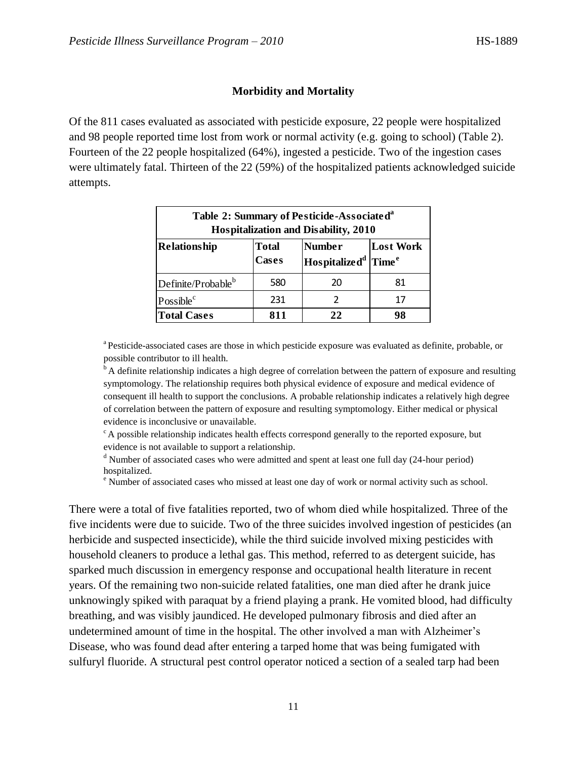#### **Morbidity and Mortality**

Of the 811 cases evaluated as associated with pesticide exposure, 22 people were hospitalized and 98 people reported time lost from work or normal activity (e.g. going to school) (Table 2). Fourteen of the 22 people hospitalized (64%), ingested a pesticide. Two of the ingestion cases were ultimately fatal. Thirteen of the 22 (59%) of the hospitalized patients acknowledged suicide attempts.

| Table 2: Summary of Pesticide-Associated <sup>a</sup><br>Hospitalization and Disability, 2010 |                              |                                                      |                  |  |
|-----------------------------------------------------------------------------------------------|------------------------------|------------------------------------------------------|------------------|--|
| <b>Relationship</b>                                                                           | <b>Total</b><br><b>Cases</b> | <b>Number</b><br>Hospitalize $d^d$ Time <sup>e</sup> | <b>Lost Work</b> |  |
| Definite/Probable <sup>b</sup>                                                                | 580                          | 20                                                   | 81               |  |
| Possible <sup>c</sup>                                                                         | 231                          |                                                      | 17               |  |
| <b>Total Cases</b>                                                                            | 811                          | 22                                                   | 98               |  |

<sup>a</sup> Pesticide-associated cases are those in which pesticide exposure was evaluated as definite, probable, or possible contributor to ill health.

 $\rm^b$ A definite relationship indicates a high degree of correlation between the pattern of exposure and resulting symptomology. The relationship requires both physical evidence of exposure and medical evidence of consequent ill health to support the conclusions. A probable relationship indicates a relatively high degree of correlation between the pattern of exposure and resulting symptomology. Either medical or physical evidence is inconclusive or unavailable.

 $c^c$  A possible relationship indicates health effects correspond generally to the reported exposure, but evidence is not available to support a relationship.

<sup>d</sup> Number of associated cases who were admitted and spent at least one full day (24-hour period) hospitalized.

<sup>e</sup> Number of associated cases who missed at least one day of work or normal activity such as school.

There were a total of five fatalities reported, two of whom died while hospitalized. Three of the five incidents were due to suicide. Two of the three suicides involved ingestion of pesticides (an herbicide and suspected insecticide), while the third suicide involved mixing pesticides with household cleaners to produce a lethal gas. This method, referred to as detergent suicide, has sparked much discussion in emergency response and occupational health literature in recent years. Of the remaining two non-suicide related fatalities, one man died after he drank juice unknowingly spiked with paraquat by a friend playing a prank. He vomited blood, had difficulty breathing, and was visibly jaundiced. He developed pulmonary fibrosis and died after an undetermined amount of time in the hospital. The other involved a man with Alzheimer's Disease, who was found dead after entering a tarped home that was being fumigated with sulfuryl fluoride. A structural pest control operator noticed a section of a sealed tarp had been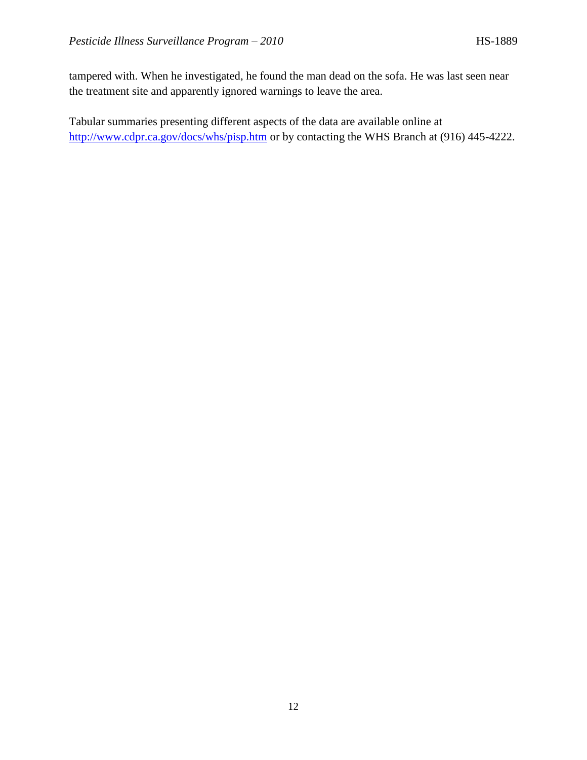tampered with. When he investigated, he found the man dead on the sofa. He was last seen near the treatment site and apparently ignored warnings to leave the area.

Tabular summaries presenting different aspects of the data are available online at <http://www.cdpr.ca.gov/docs/whs/pisp.htm> or by contacting the WHS Branch at (916) 445-4222.